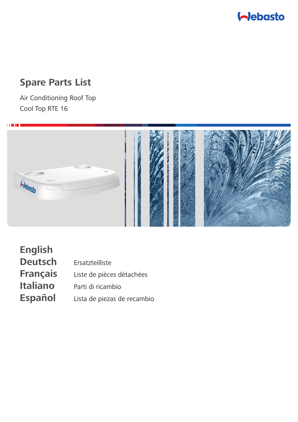

## **Spare Parts List**

Air Conditioning Roof Top Cool Top RTE 16



| <b>English</b>  |                             |
|-----------------|-----------------------------|
| <b>Deutsch</b>  | Ersatzteilliste             |
| <b>Français</b> | Liste de pièces détachées   |
| <b>Italiano</b> | Parti di ricambio           |
| <b>Español</b>  | Lista de piezas de recambio |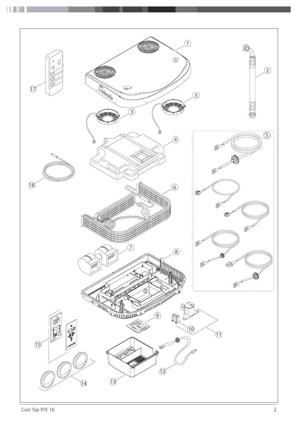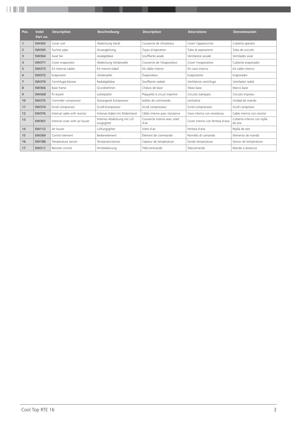| Pos.           | Indel<br>Part no. | <b>Description</b>             | <b>Beschreibung</b>                        | <b>Description</b>                    | <b>Descrizione</b>                | <b>Denominación</b>                     |
|----------------|-------------------|--------------------------------|--------------------------------------------|---------------------------------------|-----------------------------------|-----------------------------------------|
|                | <b>SW363</b>      | Cover unit                     | Abdeckung Gerät                            | Couvercle de climatiseur              | Cover l'apparecchio               | Cubierta aparato                        |
| $\overline{2}$ | <b>SW365</b>      | Suction pipe                   | Ansaugleitung                              | Tuyau d'aspiration                    | Tubo di aspirazione               | Tubo de succión                         |
| 3              | <b>SW364</b>      | Axial fan                      | Axialgebläse                               | Soufflante axiale                     | Ventilatore assiale               | Ventilador axial                        |
| $\overline{4}$ | <b>SW371</b>      | Cover evaporator               | Abdeckung Verdampfer                       | Couvercle de l'évaporateur            | Cover l'evaporatore               | Cubierta evaporador                     |
| 5              | <b>SW373</b>      | Kit internal cables            | Kit interne Kabel                          | Kit câble interne                     | Kit cavo interno                  | Kit cable interno                       |
| 6              | <b>SW372</b>      | Evaporator                     | Verdampfer                                 | Évaporateur                           | Evaporatore                       | Evaporador                              |
| $\overline{7}$ | <b>SW370</b>      | Centrifugal blower             | Radialgebläse                              | Soufflante radiale                    | Ventilatore centrifugo            | Ventilador radial                       |
| 8              | <b>SW366</b>      | Base frame                     | Grundrahmen                                | Châssis de base                       | Telaio base                       | Marco base                              |
| 9              | <b>SW368</b>      | Pc-board                       | Leiterplatte                               | Plaquette à circuit imprimé           | Circuito stampato                 | Circuito impreso                        |
| 10             | <b>SW375</b>      | Controller compressor          | Steuergerät Kompressor                     | boîtier de commande                   | centralina                        | Unidad de mando                         |
| 11             | <b>SW374</b>      | Scroll compressor              | Scroll-Kompressor                          | Scroll compresseur                    | Scroll compressore                | Scroll compresor                        |
| 12             | <b>SW376</b>      | Internal cable with resistor   | Internes Kabel mit Widerstand              | Câble interne avec résistance         | Cavo interno con resistenza       | Cable interno con resistor              |
| 13             | <b>SW367</b>      | Internal cover with air louver | Internes Abdeckung mit Lüf-<br>tungsgitter | Couvercle interne avec volet<br>d'air | Cover interno con feritoia d'aria | Cubierta interno con rejilla<br>de aire |
| 14             | <b>SW112</b>      | Air louver                     | Lüftungsgitter                             | Volet d'air                           | Feritoja d'aria                   | Rejilla de aire                         |
| 15             | SW369             | Control element                | Bedienelement                              | Élément de commande                   | Pannello di comando               | Elemento de mando                       |
| 16             | <b>SW188</b>      | Temperature sensor             | Temperatursensor                           | Capteur de température                | Sonda temperatura                 | Sensor de temperatura                   |
| 17             | <b>SW311</b>      | Remote control                 | Fernbedienung                              | Télécommande                          | Telecomando                       | Mando a distancia                       |